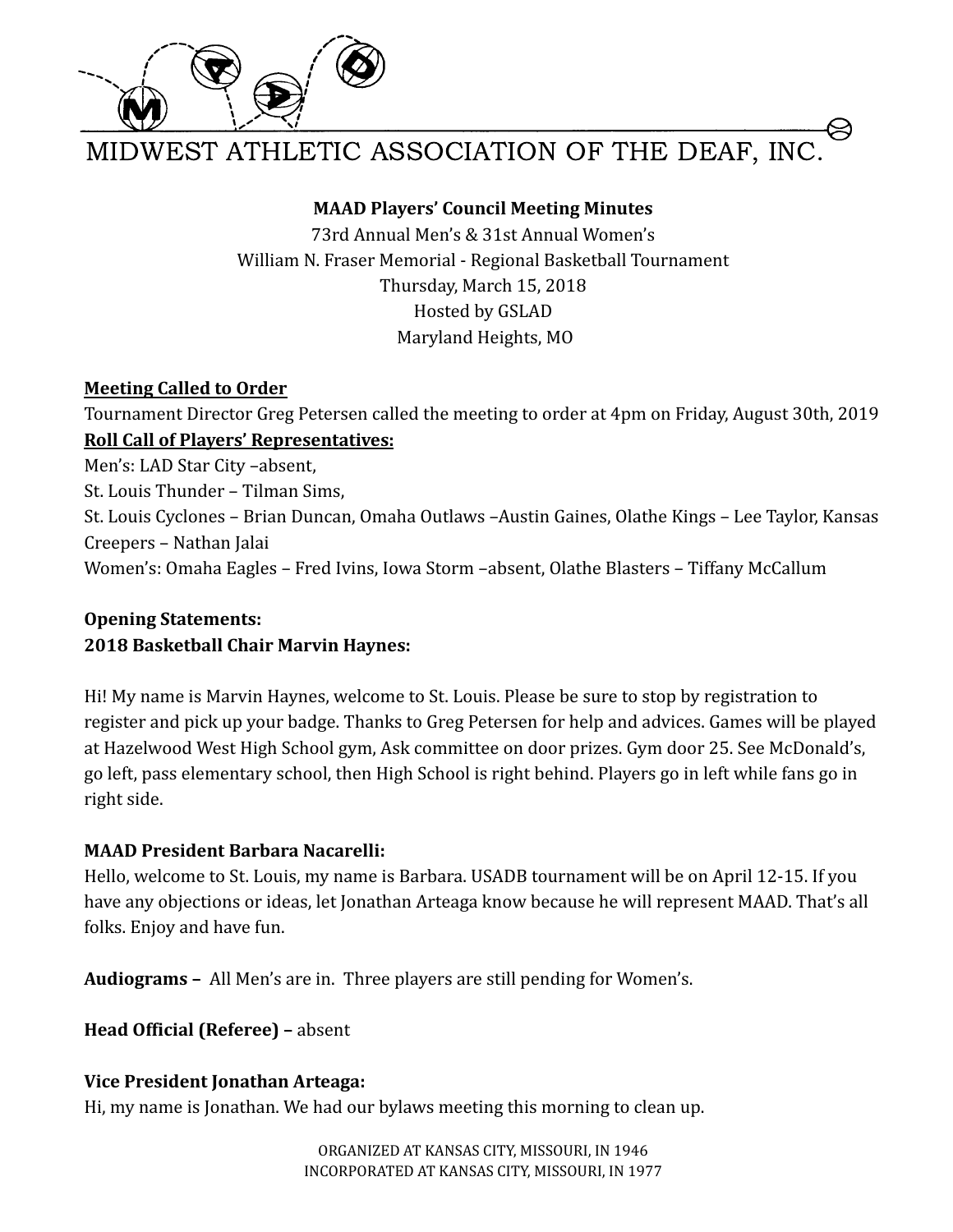

MIDWEST ATHLETIC ASSOCIATION OF THE DEAF, INC.

### **MAAD Players' Council Meeting Minutes**

73rd Annual Men's & 31st Annual Women's William N. Fraser Memorial - Regional Basketball Tournament Thursday, March 15, 2018 Hosted by GSLAD Maryland Heights, MO

### **Meeting Called to Order**

Tournament Director Greg Petersen called the meeting to order at 4pm on Friday, August 30th, 2019 **Roll Call of Players' Representatives:**

Men's: LAD Star City –absent, St. Louis Thunder – Tilman Sims, St. Louis Cyclones – Brian Duncan, Omaha Outlaws –Austin Gaines, Olathe Kings – Lee Taylor, Kansas Creepers – Nathan Jalai Women's: Omaha Eagles – Fred Ivins, Iowa Storm –absent, Olathe Blasters – Tiffany McCallum

# **Opening Statements: 2018 Basketball Chair Marvin Haynes:**

Hi! My name is Marvin Haynes, welcome to St. Louis. Please be sure to stop by registration to register and pick up your badge. Thanks to Greg Petersen for help and advices. Games will be played at Hazelwood West High School gym, Ask committee on door prizes. Gym door 25. See McDonald's, go left, pass elementary school, then High School is right behind. Players go in left while fans go in right side.

# **MAAD President Barbara Nacarelli:**

Hello, welcome to St. Louis, my name is Barbara. USADB tournament will be on April 12-15. If you have any objections or ideas, let Jonathan Arteaga know because he will represent MAAD. That's all folks. Enjoy and have fun.

**Audiograms –** All Men's are in. Three players are still pending for Women's.

# **Head Official (Referee) –** absent

# **Vice President Jonathan Arteaga:**

Hi, my name is Jonathan. We had our bylaws meeting this morning to clean up.

ORGANIZED AT KANSAS CITY, MISSOURI, IN 1946 INCORPORATED AT KANSAS CITY, MISSOURI, IN 1977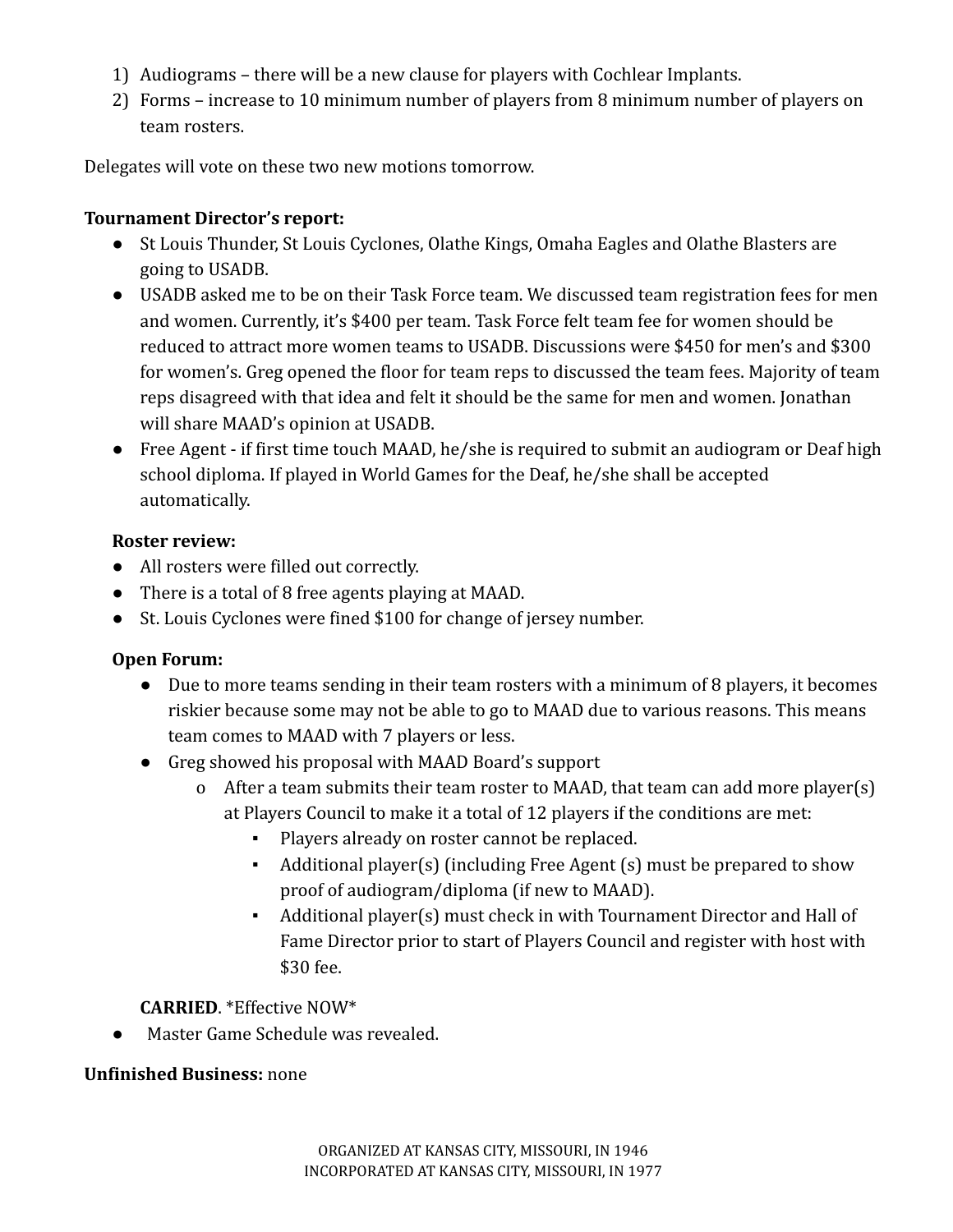- 1) Audiograms there will be a new clause for players with Cochlear Implants.
- 2) Forms increase to 10 minimum number of players from 8 minimum number of players on team rosters.

Delegates will vote on these two new motions tomorrow.

### **Tournament Director's report:**

- St Louis Thunder, St Louis Cyclones, Olathe Kings, Omaha Eagles and Olathe Blasters are going to USADB.
- USADB asked me to be on their Task Force team. We discussed team registration fees for men and women. Currently, it's \$400 per team. Task Force felt team fee for women should be reduced to attract more women teams to USADB. Discussions were \$450 for men's and \$300 for women's. Greg opened the floor for team reps to discussed the team fees. Majority of team reps disagreed with that idea and felt it should be the same for men and women. Jonathan will share MAAD's opinion at USADB.
- Free Agent if first time touch MAAD, he/she is required to submit an audiogram or Deaf high school diploma. If played in World Games for the Deaf, he/she shall be accepted automatically.

### **Roster review:**

- All rosters were filled out correctly.
- There is a total of 8 free agents playing at MAAD.
- St. Louis Cyclones were fined \$100 for change of jersey number.

# **Open Forum:**

- Due to more teams sending in their team rosters with a minimum of 8 players, it becomes riskier because some may not be able to go to MAAD due to various reasons. This means team comes to MAAD with 7 players or less.
- Greg showed his proposal with MAAD Board's support
	- o After a team submits their team roster to MAAD, that team can add more player(s) at Players Council to make it a total of 12 players if the conditions are met:
		- Players already on roster cannot be replaced.
		- Additional player(s) (including Free Agent (s) must be prepared to show proof of audiogram/diploma (if new to MAAD).
		- Additional player(s) must check in with Tournament Director and Hall of Fame Director prior to start of Players Council and register with host with \$30 fee.

# **CARRIED**. \*Effective NOW\*

● Master Game Schedule was revealed.

# **Unfinished Business:** none